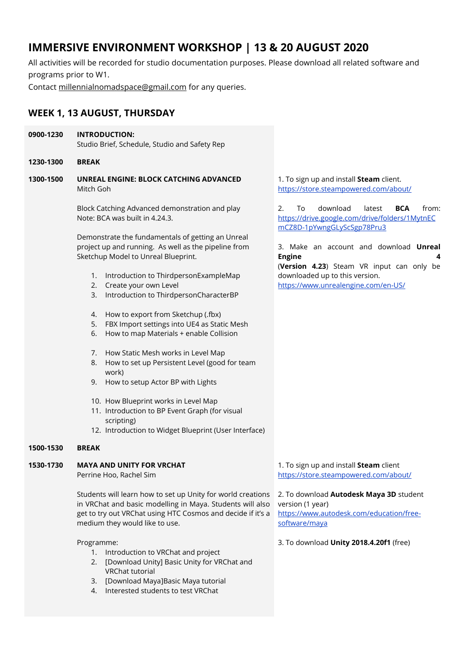# **IMMERSIVE ENVIRONMENT WORKSHOP | 13 & 20 AUGUST 2020**

All activities will be recorded for studio documentation purposes. Please download all related software and programs prior to W1.

Contact [millennialnomadspace@gmail.com](mailto:millennialnomadspace@gmail.com) for any queries.

## **WEEK 1, 13 AUGUST, THURSDAY**

| 0900-1230 | <b>INTRODUCTION:</b><br>Studio Brief, Schedule, Studio and Safety Rep                                                                                                                                                     |                                                                             |
|-----------|---------------------------------------------------------------------------------------------------------------------------------------------------------------------------------------------------------------------------|-----------------------------------------------------------------------------|
| 1230-1300 | <b>BREAK</b>                                                                                                                                                                                                              |                                                                             |
| 1300-1500 | UNREAL ENGINE: BLOCK CATCHING ADVANCED<br>Mitch Goh                                                                                                                                                                       | 1. To sign up and ir<br>https://store.steam                                 |
|           | Block Catching Advanced demonstration and play<br>Note: BCA was built in 4.24.3.                                                                                                                                          | downlo<br>2.<br>To<br>https://drive.google<br>mCZ8D-1pYwngGL                |
|           | Demonstrate the fundamentals of getting an Unreal<br>project up and running. As well as the pipeline from<br>Sketchup Model to Unreal Blueprint.                                                                          | 3. Make an acco<br><b>Engine</b><br>(Version 4.23) St                       |
|           | Introduction to ThirdpersonExampleMap<br>1.<br>2. Create your own Level<br>Introduction to ThirdpersonCharacterBP<br>3.                                                                                                   | downloaded up to<br>https://www.unrea                                       |
|           | How to export from Sketchup (.fbx)<br>4.<br>5.<br>FBX Import settings into UE4 as Static Mesh<br>How to map Materials + enable Collision<br>6.                                                                            |                                                                             |
|           | How Static Mesh works in Level Map<br>7.<br>How to set up Persistent Level (good for team<br>8.<br>work)<br>How to setup Actor BP with Lights<br>9.                                                                       |                                                                             |
|           | 10. How Blueprint works in Level Map<br>11. Introduction to BP Event Graph (for visual<br>scripting)<br>12. Introduction to Widget Blueprint (User Interface)                                                             |                                                                             |
| 1500-1530 | <b>BREAK</b>                                                                                                                                                                                                              |                                                                             |
| 1530-1730 | <b>MAYA AND UNITY FOR VRCHAT</b><br>Perrine Hoo, Rachel Sim                                                                                                                                                               | 1. To sign up and ir<br>https://store.steam                                 |
|           | Students will learn how to set up Unity for world creations<br>in VRChat and basic modelling in Maya. Students will also<br>get to try out VRChat using HTC Cosmos and decide if it's a<br>medium they would like to use. | 2. To download Au<br>version (1 year)<br>https://www.autod<br>software/maya |
|           | Programme:<br>Introduction to VRChat and project<br>1.<br>[Download Unity] Basic Unity for VRChat and<br>2.<br>VRChat tutorial                                                                                            | 3. To download Un                                                           |

- 3. [Download Maya]Basic Maya tutorial
- 4. Interested students to test VRChat

nstall **Steam** client. https://powered.com/about/

oad latest **BCA** from: e.com/drive/folders/1MytnEC yScSgp78Pru3

ount and download **Unreal Engine** 4 (**Version 4.23**) Steam VR input can only be this version. https://www.ulengine.com/en-US

nstall **Steam** client https://store.com/about/

todesk Maya 3D student lesk.com/education/free-

**ity 2018.4.20f1** (free)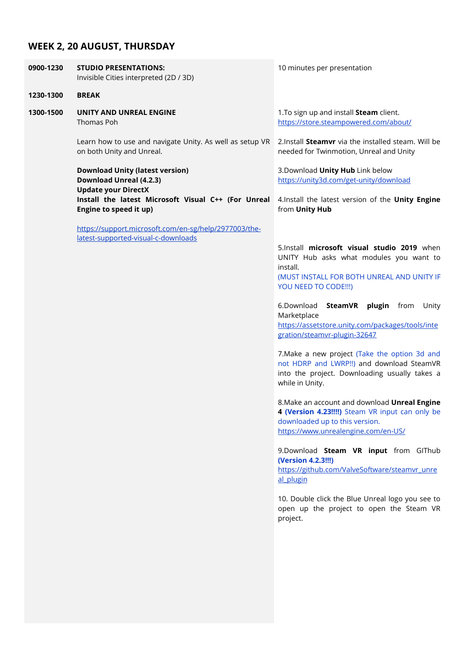## **WEEK 2, 20 AUGUST, THURSDAY**

| 0900-1230 | <b>STUDIO PRESENTATIONS:</b><br>Invisible Cities interpreted (2D / 3D)                                 | 10 minutes per presentation                                                                                                                                                                                                                                                                                                                                                                                                                                                                                                                                                                                                                                                                                                                                                                                                                                                                                            |
|-----------|--------------------------------------------------------------------------------------------------------|------------------------------------------------------------------------------------------------------------------------------------------------------------------------------------------------------------------------------------------------------------------------------------------------------------------------------------------------------------------------------------------------------------------------------------------------------------------------------------------------------------------------------------------------------------------------------------------------------------------------------------------------------------------------------------------------------------------------------------------------------------------------------------------------------------------------------------------------------------------------------------------------------------------------|
| 1230-1300 | <b>BREAK</b>                                                                                           |                                                                                                                                                                                                                                                                                                                                                                                                                                                                                                                                                                                                                                                                                                                                                                                                                                                                                                                        |
| 1300-1500 | UNITY AND UNREAL ENGINE<br>Thomas Poh                                                                  | 1. To sign up and install Steam client.<br>https://store.steampowered.com/about/                                                                                                                                                                                                                                                                                                                                                                                                                                                                                                                                                                                                                                                                                                                                                                                                                                       |
|           | Learn how to use and navigate Unity. As well as setup VR<br>on both Unity and Unreal.                  | 2.Install Steamvr via the installed steam. Will be<br>needed for Twinmotion, Unreal and Unity                                                                                                                                                                                                                                                                                                                                                                                                                                                                                                                                                                                                                                                                                                                                                                                                                          |
|           | <b>Download Unity (latest version)</b><br><b>Download Unreal (4.2.3)</b><br><b>Update your DirectX</b> | 3.Download Unity Hub Link below<br>https://unity3d.com/get-unity/download                                                                                                                                                                                                                                                                                                                                                                                                                                                                                                                                                                                                                                                                                                                                                                                                                                              |
|           | Install the latest Microsoft Visual C++ (For Unreal<br>Engine to speed it up)                          | 4. Install the latest version of the Unity Engine<br>from Unity Hub                                                                                                                                                                                                                                                                                                                                                                                                                                                                                                                                                                                                                                                                                                                                                                                                                                                    |
|           | https://support.microsoft.com/en-sg/help/2977003/the-<br>latest-supported-visual-c-downloads           | 5.Install microsoft visual studio 2019 when<br>UNITY Hub asks what modules you want to<br>install.<br>(MUST INSTALL FOR BOTH UNREAL AND UNITY IF<br>YOU NEED TO CODE !!! )<br>6.Download<br>SteamVR plugin<br>from<br>Unity<br>Marketplace<br>https://assetstore.unity.com/packages/tools/inte<br>gration/steamvr-plugin-32647<br>7. Make a new project (Take the option 3d and<br>not HDRP and LWRP!!) and download SteamVR<br>into the project. Downloading usually takes a<br>while in Unity.<br>8. Make an account and download Unreal Engine<br>4 (Version 4.23!!!!) Steam VR input can only be<br>downloaded up to this version.<br>https://www.unrealengine.com/en-US/<br>9.Download Steam VR input from GIThub<br>(Version 4.2.3!!!)<br>https://github.com/ValveSoftware/steamvr_unre<br>al plugin<br>10. Double click the Blue Unreal logo you see to<br>open up the project to open the Steam VR<br>project. |
|           |                                                                                                        |                                                                                                                                                                                                                                                                                                                                                                                                                                                                                                                                                                                                                                                                                                                                                                                                                                                                                                                        |